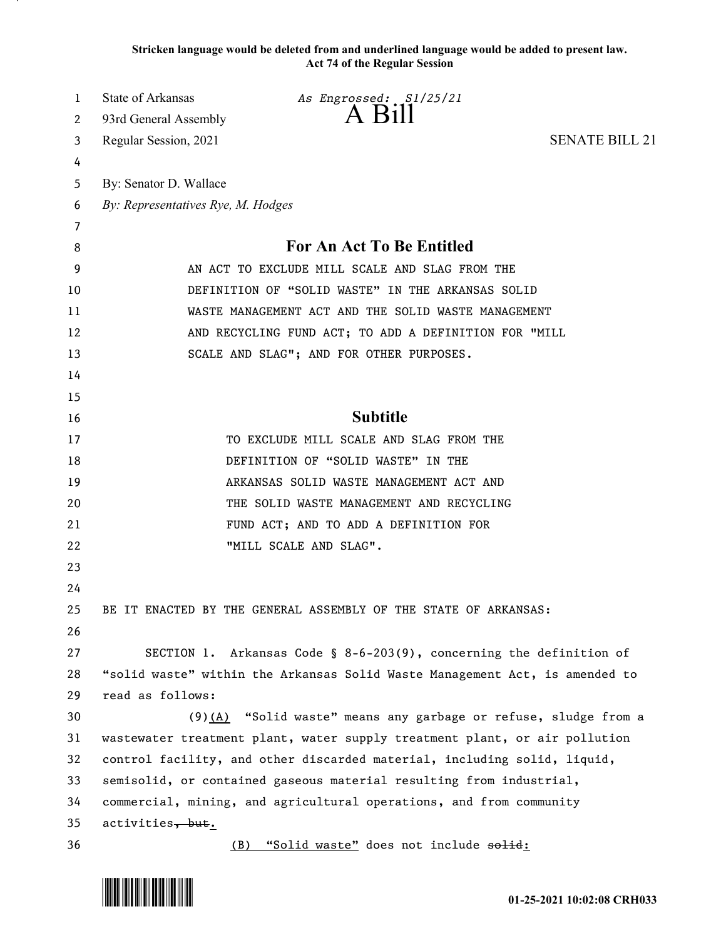**Stricken language would be deleted from and underlined language would be added to present law. Act 74 of the Regular Session**

| 1  | State of Arkansas                                                        | As Engrossed: S1/25/21                                                      |                       |
|----|--------------------------------------------------------------------------|-----------------------------------------------------------------------------|-----------------------|
| 2  | 93rd General Assembly                                                    | $A$ B <sub>1</sub> $II$                                                     |                       |
| 3  | Regular Session, 2021                                                    |                                                                             | <b>SENATE BILL 21</b> |
| 4  |                                                                          |                                                                             |                       |
| 5  | By: Senator D. Wallace                                                   |                                                                             |                       |
| 6  | By: Representatives Rye, M. Hodges                                       |                                                                             |                       |
| 7  |                                                                          |                                                                             |                       |
| 8  |                                                                          | For An Act To Be Entitled                                                   |                       |
| 9  | AN ACT TO EXCLUDE MILL SCALE AND SLAG FROM THE                           |                                                                             |                       |
| 10 | DEFINITION OF "SOLID WASTE" IN THE ARKANSAS SOLID                        |                                                                             |                       |
| 11 | WASTE MANAGEMENT ACT AND THE SOLID WASTE MANAGEMENT                      |                                                                             |                       |
| 12 | AND RECYCLING FUND ACT; TO ADD A DEFINITION FOR "MILL                    |                                                                             |                       |
| 13 |                                                                          | SCALE AND SLAG"; AND FOR OTHER PURPOSES.                                    |                       |
| 14 |                                                                          |                                                                             |                       |
| 15 |                                                                          |                                                                             |                       |
| 16 |                                                                          | <b>Subtitle</b>                                                             |                       |
| 17 |                                                                          | TO EXCLUDE MILL SCALE AND SLAG FROM THE                                     |                       |
| 18 |                                                                          | DEFINITION OF "SOLID WASTE" IN THE                                          |                       |
| 19 |                                                                          | ARKANSAS SOLID WASTE MANAGEMENT ACT AND                                     |                       |
| 20 |                                                                          | THE SOLID WASTE MANAGEMENT AND RECYCLING                                    |                       |
| 21 |                                                                          | FUND ACT; AND TO ADD A DEFINITION FOR                                       |                       |
| 22 |                                                                          | "MILL SCALE AND SLAG".                                                      |                       |
| 23 |                                                                          |                                                                             |                       |
| 24 |                                                                          |                                                                             |                       |
| 25 |                                                                          | BE IT ENACTED BY THE GENERAL ASSEMBLY OF THE STATE OF ARKANSAS:             |                       |
| 26 |                                                                          |                                                                             |                       |
| 27 |                                                                          | SECTION 1. Arkansas Code § 8-6-203(9), concerning the definition of         |                       |
| 28 |                                                                          | "solid waste" within the Arkansas Solid Waste Management Act, is amended to |                       |
| 29 | read as follows:                                                         |                                                                             |                       |
| 30 |                                                                          | $(9)$ (A) "Solid waste" means any garbage or refuse, sludge from a          |                       |
| 31 |                                                                          | wastewater treatment plant, water supply treatment plant, or air pollution  |                       |
| 32 | control facility, and other discarded material, including solid, liquid, |                                                                             |                       |
| 33 | semisolid, or contained gaseous material resulting from industrial,      |                                                                             |                       |
| 34 | commercial, mining, and agricultural operations, and from community      |                                                                             |                       |
| 35 | activities, but.                                                         |                                                                             |                       |
| 36 |                                                                          | (B) "Solid waste" does not include solid:                                   |                       |

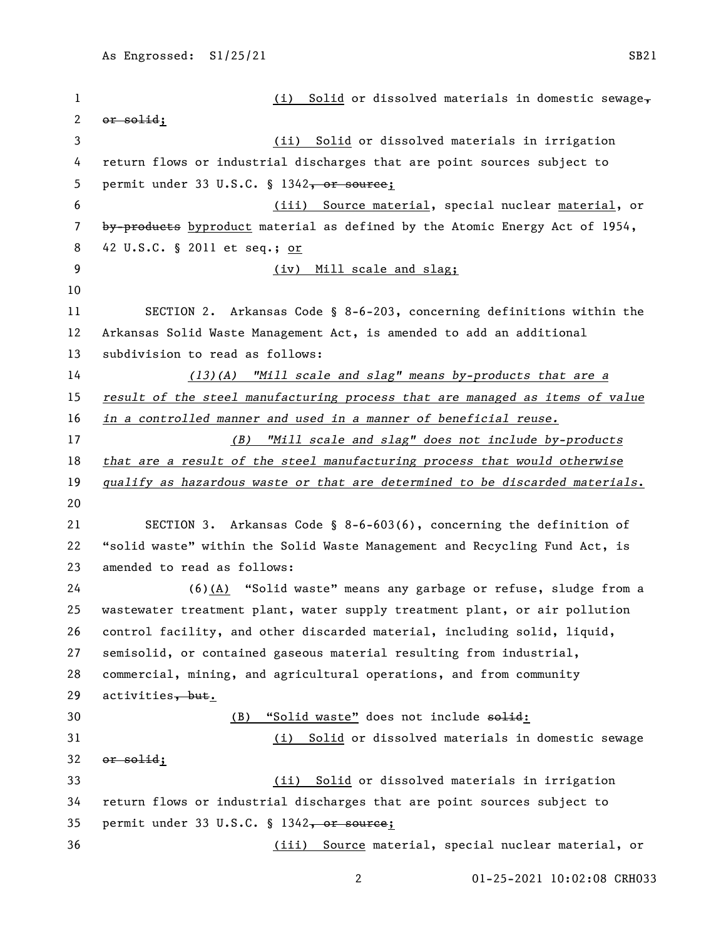1 (i) Solid or dissolved materials in domestic sewage- or solid; (ii) Solid or dissolved materials in irrigation return flows or industrial discharges that are point sources subject to 5 permit under 33 U.S.C. § 1342, or source; (iii) Source material, special nuclear material, or 7 by-products byproduct material as defined by the Atomic Energy Act of 1954, 42 U.S.C. § 2011 et seq.; or (iv) Mill scale and slag; SECTION 2. Arkansas Code § 8-6-203, concerning definitions within the Arkansas Solid Waste Management Act, is amended to add an additional subdivision to read as follows: *(13)(A) "Mill scale and slag" means by-products that are a result of the steel manufacturing process that are managed as items of value in a controlled manner and used in a manner of beneficial reuse. (B) "Mill scale and slag" does not include by-products that are a result of the steel manufacturing process that would otherwise qualify as hazardous waste or that are determined to be discarded materials*. SECTION 3. Arkansas Code § 8-6-603(6), concerning the definition of "solid waste" within the Solid Waste Management and Recycling Fund Act, is amended to read as follows: (6)(A) "Solid waste" means any garbage or refuse, sludge from a wastewater treatment plant, water supply treatment plant, or air pollution control facility, and other discarded material, including solid, liquid, semisolid, or contained gaseous material resulting from industrial, commercial, mining, and agricultural operations, and from community 29 activities,  $but.$ 30 (B) "Solid waste" does not include  $\epsilon$ olid: (i) Solid or dissolved materials in domestic sewage or solid; (ii) Solid or dissolved materials in irrigation return flows or industrial discharges that are point sources subject to 35 permit under 33 U.S.C. § 1342, or source; (iii) Source material, special nuclear material, or

01-25-2021 10:02:08 CRH033